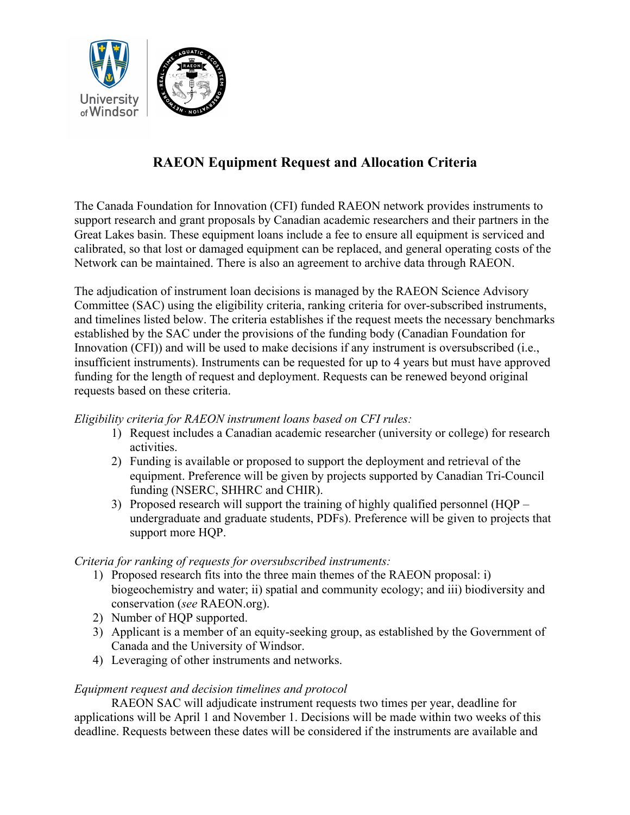

# **RAEON Equipment Request and Allocation Criteria**

The Canada Foundation for Innovation (CFI) funded RAEON network provides instruments to support research and grant proposals by Canadian academic researchers and their partners in the Great Lakes basin. These equipment loans include a fee to ensure all equipment is serviced and calibrated, so that lost or damaged equipment can be replaced, and general operating costs of the Network can be maintained. There is also an agreement to archive data through RAEON.

The adjudication of instrument loan decisions is managed by the RAEON Science Advisory Committee (SAC) using the eligibility criteria, ranking criteria for over-subscribed instruments, and timelines listed below. The criteria establishes if the request meets the necessary benchmarks established by the SAC under the provisions of the funding body (Canadian Foundation for Innovation (CFI)) and will be used to make decisions if any instrument is oversubscribed (i.e., insufficient instruments). Instruments can be requested for up to 4 years but must have approved funding for the length of request and deployment. Requests can be renewed beyond original requests based on these criteria.

# *Eligibility criteria for RAEON instrument loans based on CFI rules:*

- 1) Request includes a Canadian academic researcher (university or college) for research activities.
- 2) Funding is available or proposed to support the deployment and retrieval of the equipment. Preference will be given by projects supported by Canadian Tri-Council funding (NSERC, SHHRC and CHIR).
- 3) Proposed research will support the training of highly qualified personnel (HQP undergraduate and graduate students, PDFs). Preference will be given to projects that support more HQP.

### *Criteria for ranking of requests for oversubscribed instruments:*

- 1) Proposed research fits into the three main themes of the RAEON proposal: i) biogeochemistry and water; ii) spatial and community ecology; and iii) biodiversity and conservation (*see* RAEON.org).
- 2) Number of HQP supported.
- 3) Applicant is a member of an equity-seeking group, as established by the Government of Canada and the University of Windsor.
- 4) Leveraging of other instruments and networks.

### *Equipment request and decision timelines and protocol*

RAEON SAC will adjudicate instrument requests two times per year, deadline for applications will be April 1 and November 1. Decisions will be made within two weeks of this deadline. Requests between these dates will be considered if the instruments are available and